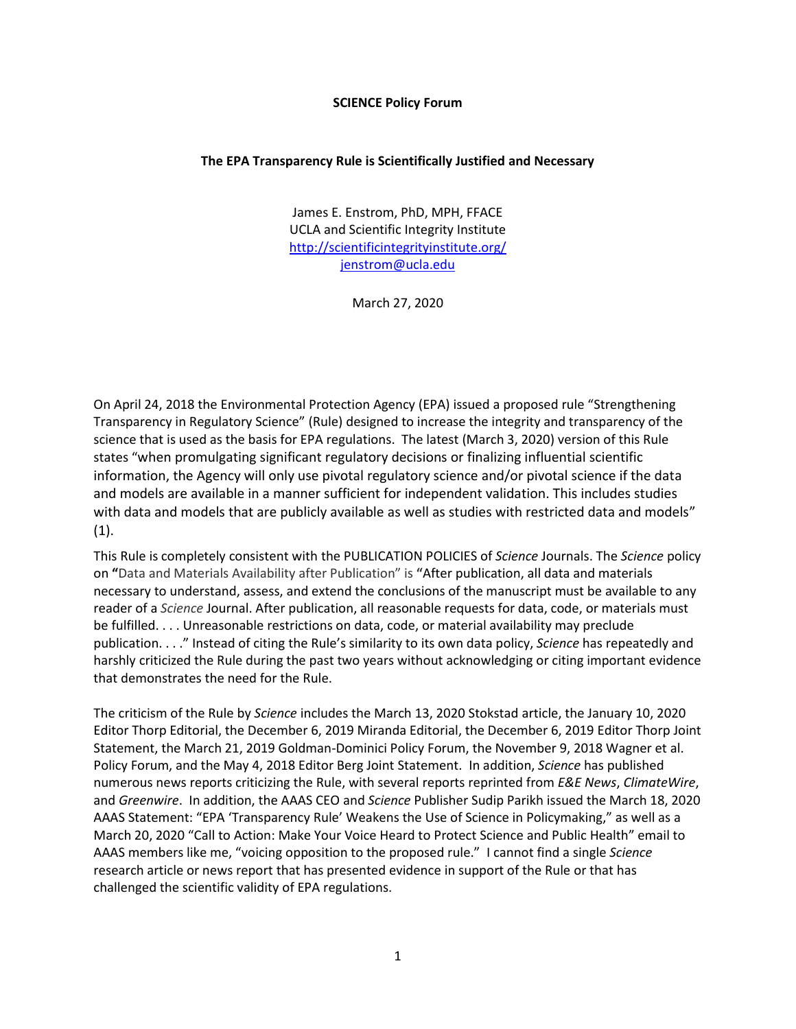## **SCIENCE Policy Forum**

## **The EPA Transparency Rule is Scientifically Justified and Necessary**

James E. Enstrom, PhD, MPH, FFACE UCLA and Scientific Integrity Institute <http://scientificintegrityinstitute.org/> [jenstrom@ucla.edu](mailto:jenstrom@ucla.edu)

March 27, 2020

On April 24, 2018 the Environmental Protection Agency (EPA) issued a proposed rule "Strengthening Transparency in Regulatory Science" (Rule) designed to increase the integrity and transparency of the science that is used as the basis for EPA regulations. The latest (March 3, 2020) version of this Rule states "when promulgating significant regulatory decisions or finalizing influential scientific information, the Agency will only use pivotal regulatory science and/or pivotal science if the data and models are available in a manner sufficient for independent validation. This includes studies with data and models that are publicly available as well as studies with restricted data and models"  $(1).$ 

This Rule is completely consistent with the PUBLICATION POLICIES of *Science* Journals. The *Science* policy on **"**Data and Materials Availability after Publication" is **"**After publication, all data and materials necessary to understand, assess, and extend the conclusions of the manuscript must be available to any reader of a *Science* Journal. After publication, all reasonable requests for data, code, or materials must be fulfilled. . . . Unreasonable restrictions on data, code, or material availability may preclude publication. . . ." Instead of citing the Rule's similarity to its own data policy, *Science* has repeatedly and harshly criticized the Rule during the past two years without acknowledging or citing important evidence that demonstrates the need for the Rule.

The criticism of the Rule by *Science* includes the March 13, 2020 Stokstad article, the January 10, 2020 Editor Thorp Editorial, the December 6, 2019 Miranda Editorial, the December 6, 2019 Editor Thorp Joint Statement, the March 21, 2019 Goldman-Dominici Policy Forum, the November 9, 2018 Wagner et al. Policy Forum, and the May 4, 2018 Editor Berg Joint Statement. In addition, *Science* has published numerous news reports criticizing the Rule, with several reports reprinted from *E&E News*, *ClimateWire*, and *Greenwire*. In addition, the AAAS CEO and *Science* Publisher Sudip Parikh issued the March 18, 2020 AAAS Statement: "EPA 'Transparency Rule' Weakens the Use of Science in Policymaking," as well as a March 20, 2020 "Call to Action: Make Your Voice Heard to Protect Science and Public Health" email to AAAS members like me, "voicing opposition to the proposed rule." I cannot find a single *Science* research article or news report that has presented evidence in support of the Rule or that has challenged the scientific validity of EPA regulations.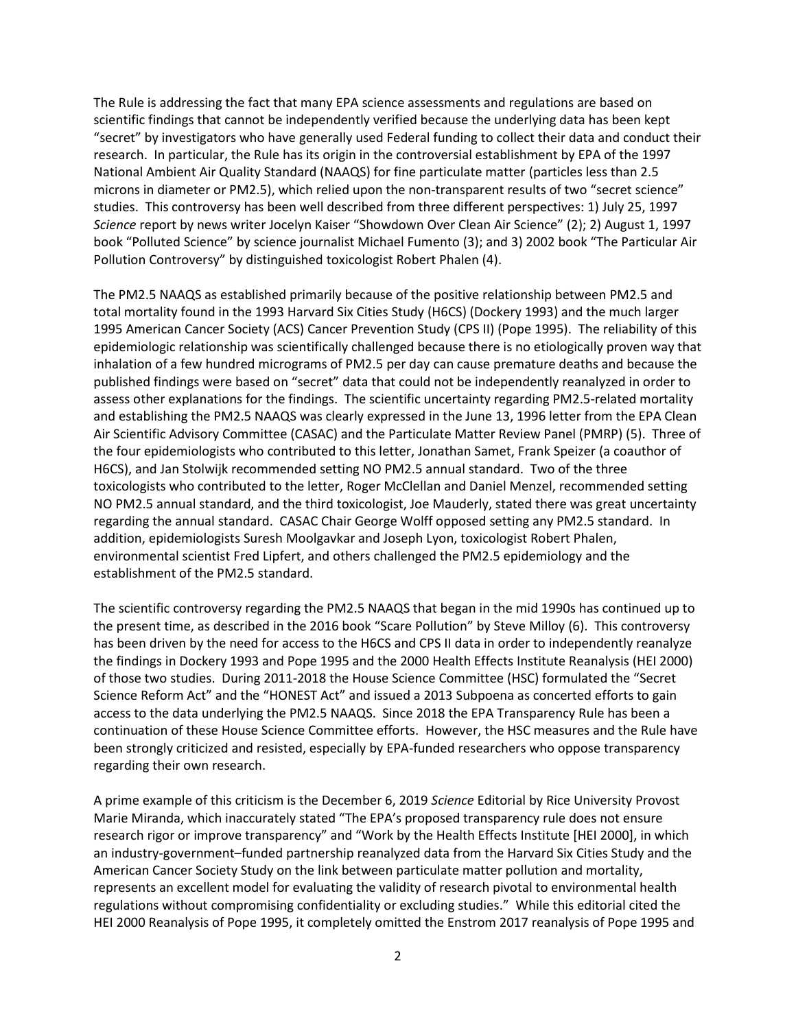The Rule is addressing the fact that many EPA science assessments and regulations are based on scientific findings that cannot be independently verified because the underlying data has been kept "secret" by investigators who have generally used Federal funding to collect their data and conduct their research. In particular, the Rule has its origin in the controversial establishment by EPA of the 1997 National Ambient Air Quality Standard (NAAQS) for fine particulate matter (particles less than 2.5 microns in diameter or PM2.5), which relied upon the non-transparent results of two "secret science" studies. This controversy has been well described from three different perspectives: 1) July 25, 1997 *Science* report by news writer Jocelyn Kaiser "Showdown Over Clean Air Science" (2); 2) August 1, 1997 book "Polluted Science" by science journalist Michael Fumento (3); and 3) 2002 book "The Particular Air Pollution Controversy" by distinguished toxicologist Robert Phalen (4).

The PM2.5 NAAQS as established primarily because of the positive relationship between PM2.5 and total mortality found in the 1993 Harvard Six Cities Study (H6CS) (Dockery 1993) and the much larger 1995 American Cancer Society (ACS) Cancer Prevention Study (CPS II) (Pope 1995). The reliability of this epidemiologic relationship was scientifically challenged because there is no etiologically proven way that inhalation of a few hundred micrograms of PM2.5 per day can cause premature deaths and because the published findings were based on "secret" data that could not be independently reanalyzed in order to assess other explanations for the findings. The scientific uncertainty regarding PM2.5-related mortality and establishing the PM2.5 NAAQS was clearly expressed in the June 13, 1996 letter from the EPA Clean Air Scientific Advisory Committee (CASAC) and the Particulate Matter Review Panel (PMRP) (5). Three of the four epidemiologists who contributed to this letter, Jonathan Samet, Frank Speizer (a coauthor of H6CS), and Jan Stolwijk recommended setting NO PM2.5 annual standard. Two of the three toxicologists who contributed to the letter, Roger McClellan and Daniel Menzel, recommended setting NO PM2.5 annual standard, and the third toxicologist, Joe Mauderly, stated there was great uncertainty regarding the annual standard. CASAC Chair George Wolff opposed setting any PM2.5 standard. In addition, epidemiologists Suresh Moolgavkar and Joseph Lyon, toxicologist Robert Phalen, environmental scientist Fred Lipfert, and others challenged the PM2.5 epidemiology and the establishment of the PM2.5 standard.

The scientific controversy regarding the PM2.5 NAAQS that began in the mid 1990s has continued up to the present time, as described in the 2016 book "Scare Pollution" by Steve Milloy (6). This controversy has been driven by the need for access to the H6CS and CPS II data in order to independently reanalyze the findings in Dockery 1993 and Pope 1995 and the 2000 Health Effects Institute Reanalysis (HEI 2000) of those two studies. During 2011-2018 the House Science Committee (HSC) formulated the "Secret Science Reform Act" and the "HONEST Act" and issued a 2013 Subpoena as concerted efforts to gain access to the data underlying the PM2.5 NAAQS. Since 2018 the EPA Transparency Rule has been a continuation of these House Science Committee efforts. However, the HSC measures and the Rule have been strongly criticized and resisted, especially by EPA-funded researchers who oppose transparency regarding their own research.

A prime example of this criticism is the December 6, 2019 *Science* Editorial by Rice University Provost Marie Miranda, which inaccurately stated "The EPA's proposed transparency rule does not ensure research rigor or improve transparency" and "Work by the Health Effects Institute [HEI 2000], in which an industry-government–funded partnership reanalyzed data from the Harvard Six Cities Study and the American Cancer Society Study on the link between particulate matter pollution and mortality, represents an excellent model for evaluating the validity of research pivotal to environmental health regulations without compromising confidentiality or excluding studies." While this editorial cited the HEI 2000 Reanalysis of Pope 1995, it completely omitted the Enstrom 2017 reanalysis of Pope 1995 and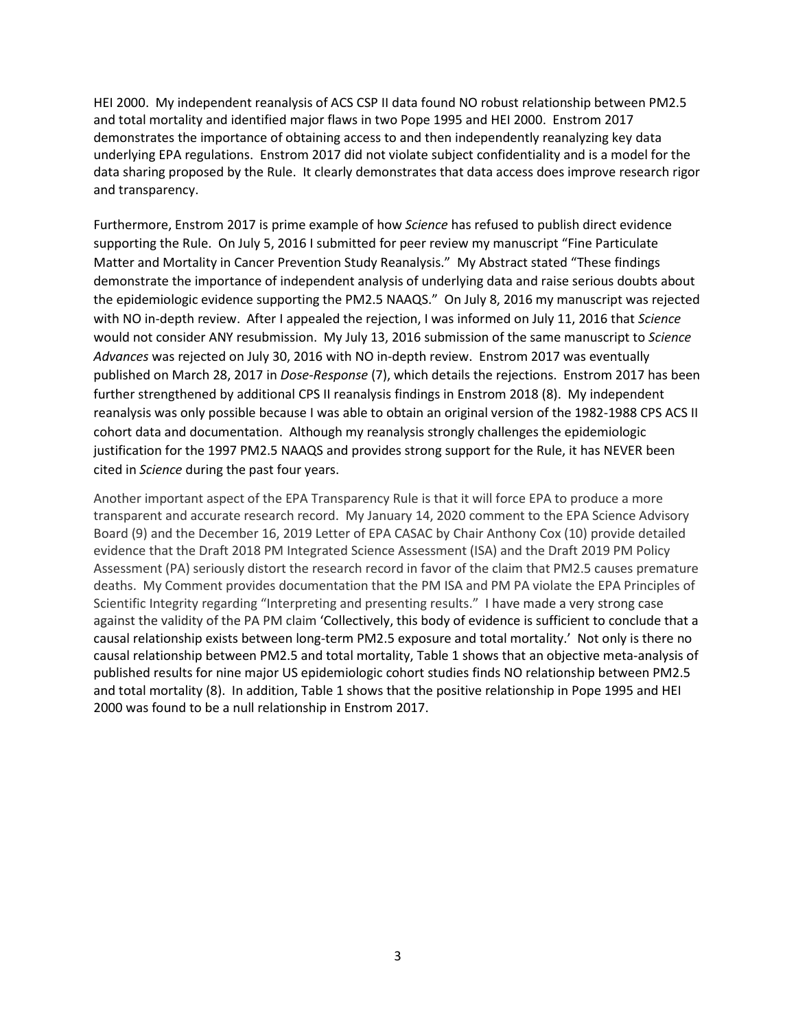HEI 2000. My independent reanalysis of ACS CSP II data found NO robust relationship between PM2.5 and total mortality and identified major flaws in two Pope 1995 and HEI 2000. Enstrom 2017 demonstrates the importance of obtaining access to and then independently reanalyzing key data underlying EPA regulations. Enstrom 2017 did not violate subject confidentiality and is a model for the data sharing proposed by the Rule. It clearly demonstrates that data access does improve research rigor and transparency.

Furthermore, Enstrom 2017 is prime example of how *Science* has refused to publish direct evidence supporting the Rule. On July 5, 2016 I submitted for peer review my manuscript "Fine Particulate Matter and Mortality in Cancer Prevention Study Reanalysis." My Abstract stated "These findings demonstrate the importance of independent analysis of underlying data and raise serious doubts about the epidemiologic evidence supporting the PM2.5 NAAQS." On July 8, 2016 my manuscript was rejected with NO in-depth review. After I appealed the rejection, I was informed on July 11, 2016 that *Science* would not consider ANY resubmission. My July 13, 2016 submission of the same manuscript to *Science Advances* was rejected on July 30, 2016 with NO in-depth review. Enstrom 2017 was eventually published on March 28, 2017 in *Dose-Response* (7), which details the rejections. Enstrom 2017 has been further strengthened by additional CPS II reanalysis findings in Enstrom 2018 (8). My independent reanalysis was only possible because I was able to obtain an original version of the 1982-1988 CPS ACS II cohort data and documentation. Although my reanalysis strongly challenges the epidemiologic justification for the 1997 PM2.5 NAAQS and provides strong support for the Rule, it has NEVER been cited in *Science* during the past four years.

Another important aspect of the EPA Transparency Rule is that it will force EPA to produce a more transparent and accurate research record. My January 14, 2020 comment to the EPA Science Advisory Board (9) and the December 16, 2019 Letter of EPA CASAC by Chair Anthony Cox (10) provide detailed evidence that the Draft 2018 PM Integrated Science Assessment (ISA) and the Draft 2019 PM Policy Assessment (PA) seriously distort the research record in favor of the claim that PM2.5 causes premature deaths. My Comment provides documentation that the PM ISA and PM PA violate the EPA Principles of Scientific Integrity regarding "Interpreting and presenting results." I have made a very strong case against the validity of the PA PM claim 'Collectively, this body of evidence is sufficient to conclude that a causal relationship exists between long-term PM2.5 exposure and total mortality.' Not only is there no causal relationship between PM2.5 and total mortality, Table 1 shows that an objective meta-analysis of published results for nine major US epidemiologic cohort studies finds NO relationship between PM2.5 and total mortality (8). In addition, Table 1 shows that the positive relationship in Pope 1995 and HEI 2000 was found to be a null relationship in Enstrom 2017.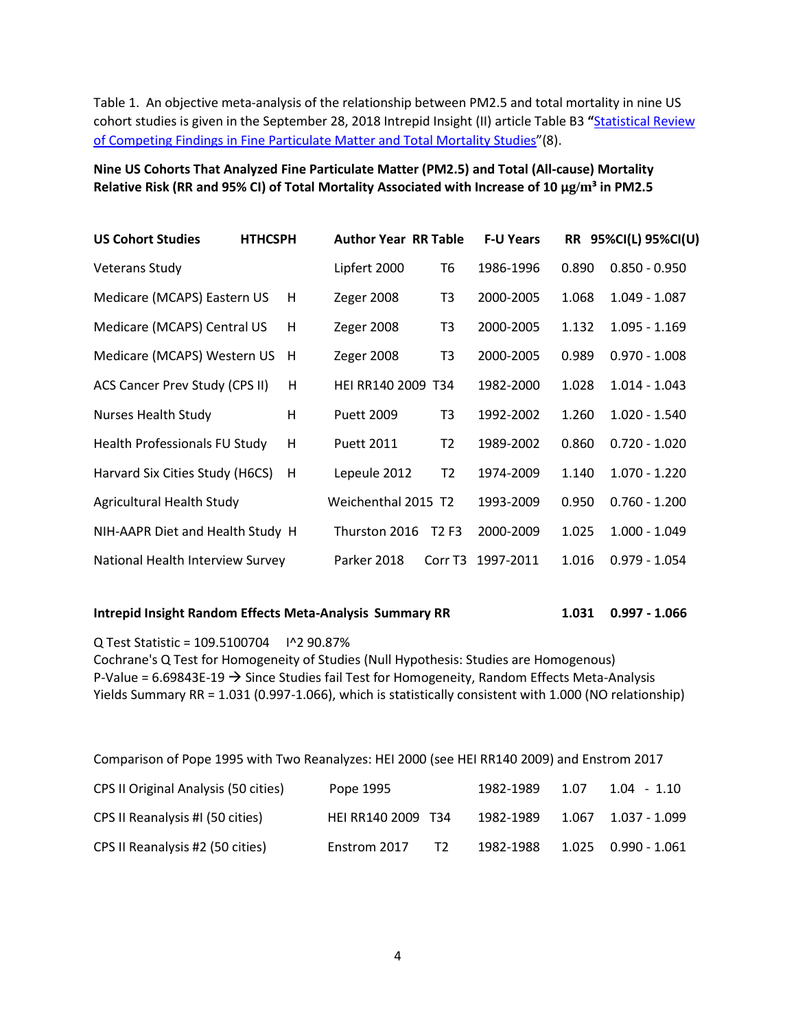Table 1. An objective meta-analysis of the relationship between PM2.5 and total mortality in nine US cohort studies is given in the September 28, 2018 Intrepid Insight (II) article Table B3 **"**[Statistical Review](https://intrepidinsight.com/pm25-statreview/)  [of Competing Findings in Fine Particulate Matter and Total Mortality Studies](https://intrepidinsight.com/pm25-statreview/)"(8).

**Nine US Cohorts That Analyzed Fine Particulate Matter (PM2.5) and Total (All-cause) Mortality Relative Risk (RR and 95% CI) of Total Mortality Associated with Increase of 10 μg/m³ in PM2.5**

| <b>US Cohort Studies</b>              | <b>HTHCSPH</b> | <b>Author Year RR Table</b> |                               | <b>F-U Years</b> |       | RR 95%CI(L) 95%CI(U) |
|---------------------------------------|----------------|-----------------------------|-------------------------------|------------------|-------|----------------------|
| <b>Veterans Study</b>                 |                | Lipfert 2000                | Т6                            | 1986-1996        | 0.890 | $0.850 - 0.950$      |
| Medicare (MCAPS) Eastern US           | H              | Zeger 2008                  | T3                            | 2000-2005        | 1.068 | $1.049 - 1.087$      |
| Medicare (MCAPS) Central US           | H              | Zeger 2008                  | T3                            | 2000-2005        | 1.132 | $1.095 - 1.169$      |
| Medicare (MCAPS) Western US           | H              | Zeger 2008                  | T3                            | 2000-2005        | 0.989 | $0.970 - 1.008$      |
| <b>ACS Cancer Prev Study (CPS II)</b> | н              | HEI RR140 2009 T34          |                               | 1982-2000        | 1.028 | $1.014 - 1.043$      |
| <b>Nurses Health Study</b>            | Н              | <b>Puett 2009</b>           | T3                            | 1992-2002        | 1.260 | $1.020 - 1.540$      |
| Health Professionals FU Study         | H              | <b>Puett 2011</b>           | T <sub>2</sub>                | 1989-2002        | 0.860 | $0.720 - 1.020$      |
| Harvard Six Cities Study (H6CS)       | H              | Lepeule 2012                | T2                            | 1974-2009        | 1.140 | $1.070 - 1.220$      |
| Agricultural Health Study             |                | Weichenthal 2015 T2         |                               | 1993-2009        | 0.950 | $0.760 - 1.200$      |
| NIH-AAPR Diet and Health Study H      |                | Thurston 2016               | T <sub>2</sub> F <sub>3</sub> | 2000-2009        | 1.025 | $1.000 - 1.049$      |
| National Health Interview Survey      |                | Parker 2018                 | Corr T <sub>3</sub>           | 1997-2011        | 1.016 | $0.979 - 1.054$      |

## **Intrepid Insight Random Effects Meta-Analysis Summary RR 1.031 0.997 - 1.066**

Q Test Statistic = 109.5100704 I^2 90.87% Cochrane's Q Test for Homogeneity of Studies (Null Hypothesis: Studies are Homogenous) P-Value =  $6.69843E-19 \rightarrow$  Since Studies fail Test for Homogeneity, Random Effects Meta-Analysis Yields Summary RR = 1.031 (0.997-1.066), which is statistically consistent with 1.000 (NO relationship)

| Comparison of Pope 1995 with Two Reanalyzes: HEI 2000 (see HEI RR140 2009) and Enstrom 2017 |                                |           |      |               |  |  |  |  |  |
|---------------------------------------------------------------------------------------------|--------------------------------|-----------|------|---------------|--|--|--|--|--|
| CPS II Original Analysis (50 cities)                                                        | Pope 1995                      | 1982-1989 | 1.07 | $1.04 - 1.10$ |  |  |  |  |  |
| CPS II Reanalysis #I (50 cities)                                                            | HEI RR140 2009 T34             | 1982-1989 |      |               |  |  |  |  |  |
| CPS II Reanalysis #2 (50 cities)                                                            | T <sub>2</sub><br>Enstrom 2017 | 1982-1988 |      |               |  |  |  |  |  |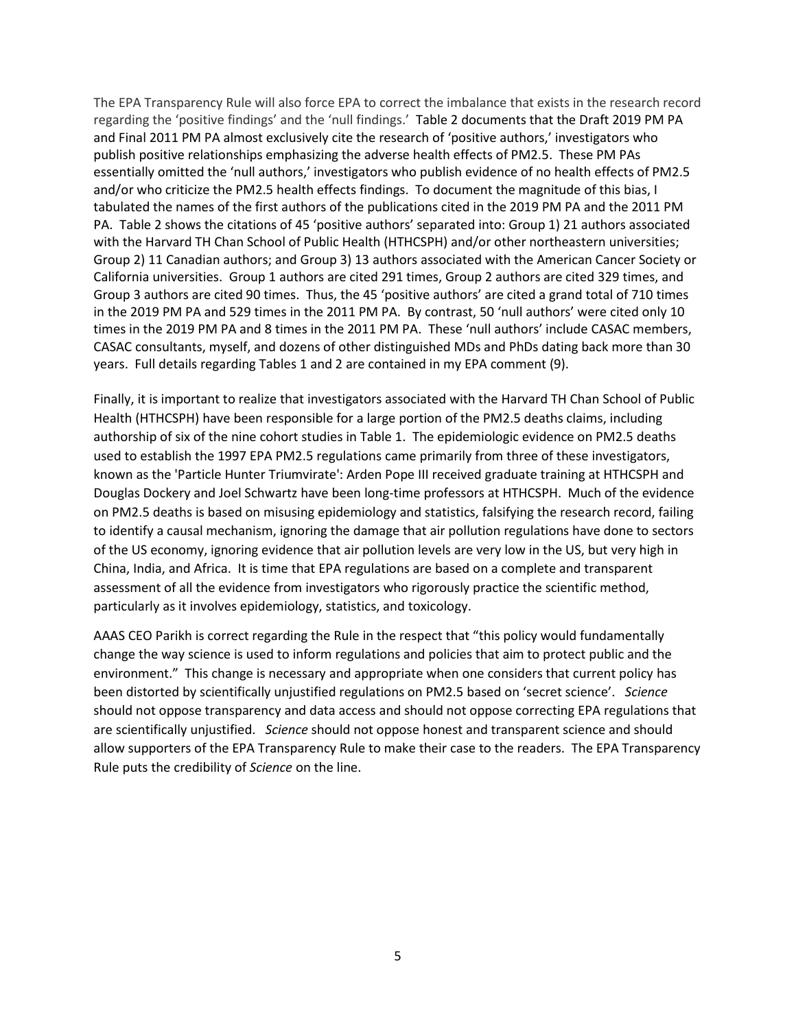The EPA Transparency Rule will also force EPA to correct the imbalance that exists in the research record regarding the 'positive findings' and the 'null findings.' Table 2 documents that the Draft 2019 PM PA and Final 2011 PM PA almost exclusively cite the research of 'positive authors,' investigators who publish positive relationships emphasizing the adverse health effects of PM2.5. These PM PAs essentially omitted the 'null authors,' investigators who publish evidence of no health effects of PM2.5 and/or who criticize the PM2.5 health effects findings. To document the magnitude of this bias, I tabulated the names of the first authors of the publications cited in the 2019 PM PA and the 2011 PM PA. Table 2 shows the citations of 45 'positive authors' separated into: Group 1) 21 authors associated with the Harvard TH Chan School of Public Health (HTHCSPH) and/or other northeastern universities; Group 2) 11 Canadian authors; and Group 3) 13 authors associated with the American Cancer Society or California universities. Group 1 authors are cited 291 times, Group 2 authors are cited 329 times, and Group 3 authors are cited 90 times. Thus, the 45 'positive authors' are cited a grand total of 710 times in the 2019 PM PA and 529 times in the 2011 PM PA. By contrast, 50 'null authors' were cited only 10 times in the 2019 PM PA and 8 times in the 2011 PM PA. These 'null authors' include CASAC members, CASAC consultants, myself, and dozens of other distinguished MDs and PhDs dating back more than 30 years. Full details regarding Tables 1 and 2 are contained in my EPA comment (9).

Finally, it is important to realize that investigators associated with the Harvard TH Chan School of Public Health (HTHCSPH) have been responsible for a large portion of the PM2.5 deaths claims, including authorship of six of the nine cohort studies in Table 1. The epidemiologic evidence on PM2.5 deaths used to establish the 1997 EPA PM2.5 regulations came primarily from three of these investigators, known as the 'Particle Hunter Triumvirate': Arden Pope III received graduate training at HTHCSPH and Douglas Dockery and Joel Schwartz have been long-time professors at HTHCSPH. Much of the evidence on PM2.5 deaths is based on misusing epidemiology and statistics, falsifying the research record, failing to identify a causal mechanism, ignoring the damage that air pollution regulations have done to sectors of the US economy, ignoring evidence that air pollution levels are very low in the US, but very high in China, India, and Africa. It is time that EPA regulations are based on a complete and transparent assessment of all the evidence from investigators who rigorously practice the scientific method, particularly as it involves epidemiology, statistics, and toxicology.

AAAS CEO Parikh is correct regarding the Rule in the respect that "this policy would fundamentally change the way science is used to inform regulations and policies that aim to protect public and the environment." This change is necessary and appropriate when one considers that current policy has been distorted by scientifically unjustified regulations on PM2.5 based on 'secret science'. *Science* should not oppose transparency and data access and should not oppose correcting EPA regulations that are scientifically unjustified. *Science* should not oppose honest and transparent science and should allow supporters of the EPA Transparency Rule to make their case to the readers. The EPA Transparency Rule puts the credibility of *Science* on the line.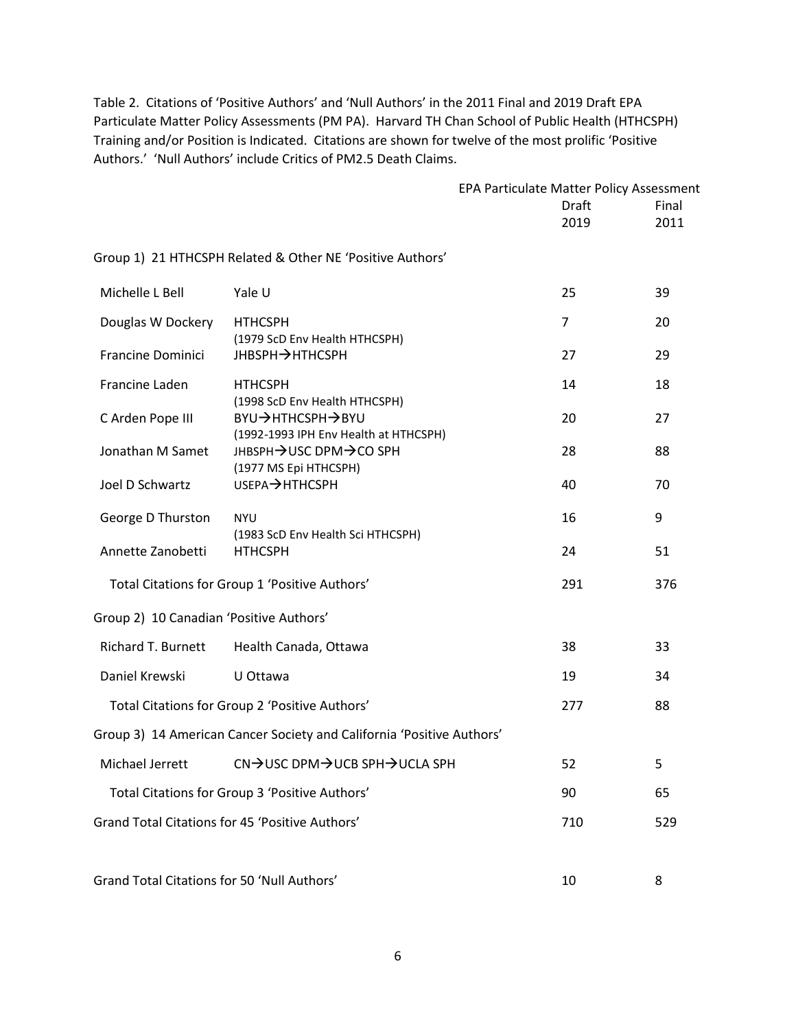Table 2. Citations of 'Positive Authors' and 'Null Authors' in the 2011 Final and 2019 Draft EPA Particulate Matter Policy Assessments (PM PA). Harvard TH Chan School of Public Health (HTHCSPH) Training and/or Position is Indicated. Citations are shown for twelve of the most prolific 'Positive Authors.' 'Null Authors' include Critics of PM2.5 Death Claims.

|                                             |                                                                       | EPA Particulate Matter Policy Assessment |                |       |
|---------------------------------------------|-----------------------------------------------------------------------|------------------------------------------|----------------|-------|
|                                             |                                                                       |                                          | Draft          | Final |
|                                             |                                                                       |                                          | 2019           | 2011  |
|                                             | Group 1) 21 HTHCSPH Related & Other NE 'Positive Authors'             |                                          |                |       |
| Michelle L Bell                             | Yale U                                                                |                                          | 25             | 39    |
| Douglas W Dockery                           | <b>HTHCSPH</b><br>(1979 ScD Env Health HTHCSPH)                       |                                          | $\overline{7}$ | 20    |
| <b>Francine Dominici</b>                    | <b>JHBSPH→HTHCSPH</b>                                                 |                                          | 27             | 29    |
| Francine Laden                              | <b>HTHCSPH</b><br>(1998 ScD Env Health HTHCSPH)                       |                                          | 14             | 18    |
| C Arden Pope III                            | BYU→HTHCSPH→BYU                                                       |                                          | 20             | 27    |
| Jonathan M Samet                            | (1992-1993 IPH Env Health at HTHCSPH)<br>JHBSPH→USC DPM→CO SPH        |                                          | 28             | 88    |
| Joel D Schwartz                             | (1977 MS Epi HTHCSPH)<br>USEPA→HTHCSPH                                |                                          | 40             | 70    |
| George D Thurston                           | <b>NYU</b>                                                            |                                          | 16             | 9     |
| Annette Zanobetti                           | (1983 ScD Env Health Sci HTHCSPH)<br><b>HTHCSPH</b>                   |                                          | 24             | 51    |
|                                             | Total Citations for Group 1 'Positive Authors'                        |                                          | 291            | 376   |
| Group 2) 10 Canadian 'Positive Authors'     |                                                                       |                                          |                |       |
| Richard T. Burnett                          | Health Canada, Ottawa                                                 |                                          | 38             | 33    |
| Daniel Krewski                              | U Ottawa                                                              |                                          | 19             | 34    |
|                                             | Total Citations for Group 2 'Positive Authors'                        |                                          | 277            | 88    |
|                                             | Group 3) 14 American Cancer Society and California 'Positive Authors' |                                          |                |       |
| Michael Jerrett                             | CN→USC DPM→UCB SPH→UCLA SPH                                           |                                          | 52             | 5.    |
|                                             | Total Citations for Group 3 'Positive Authors'                        |                                          | 90             | 65    |
|                                             | Grand Total Citations for 45 'Positive Authors'                       |                                          | 710            | 529   |
| Grand Total Citations for 50 'Null Authors' |                                                                       |                                          | 10             | 8     |